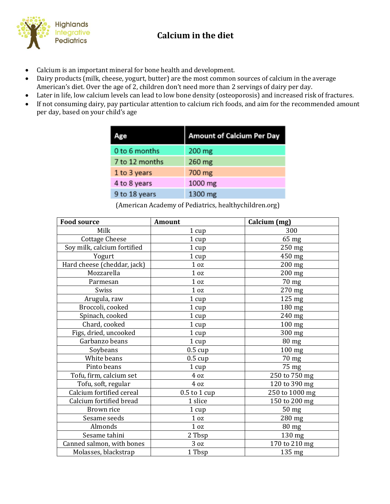

## **Example 3 Exceptive**<br>Pediatrics **Calcium in the diet**

- Calcium is an important mineral for bone health and development.
- Dairy products (milk, cheese, yogurt, butter) are the most common sources of calcium in the average American's diet. Over the age of 2, children don't need more than 2 servings of dairy per day.
- Later in life, low calcium levels can lead to low bone density (osteoporosis) and increased risk of fractures.
- If not consuming dairy, pay particular attention to calcium rich foods, and aim for the recommended amount per day, based on your child's age

| lge            | <b>Amount of Calcium Per Day</b> |
|----------------|----------------------------------|
| 0 to 6 months  | $200$ mg                         |
| 7 to 12 months | 260 mg                           |
| 1 to 3 years   | 700 mg                           |
| 4 to 8 years   | 1000 mg                          |
| 9 to 18 years  | 1300 mg                          |

(American Academy of Pediatrics, healthychildren.org)

| <b>Food source</b>          | <b>Amount</b>     | Calcium (mg)    |
|-----------------------------|-------------------|-----------------|
| Milk                        | 1 cup             | 300             |
| <b>Cottage Cheese</b>       | 1 cup             | 65 mg           |
| Soy milk, calcium fortified | 1 cup             | 250 mg          |
| Yogurt                      | 1 cup             | 450 mg          |
| Hard cheese (cheddar, jack) | $1\,\mathrm{oz}$  | $200$ mg        |
| Mozzarella                  | $1\,\mathrm{oz}$  | $200$ mg        |
| Parmesan                    | $1\,\mathrm{oz}$  | 70 mg           |
| Swiss                       | $1\,\mathrm{oz}$  | 270 mg          |
| Arugula, raw                | $1 \text{ cup}$   | 125 mg          |
| Broccoli, cooked            | 1 cup             | 180 mg          |
| Spinach, cooked             | 1 cup             | 240 mg          |
| Chard, cooked               | 1 cup             | $100$ mg        |
| Figs, dried, uncooked       | 1 cup             | 300 mg          |
| Garbanzo beans              | 1 cup             | $80$ mg         |
| Soybeans                    | $0.5 \text{ cup}$ | $100$ mg        |
| White beans                 | $0.5 \text{ cup}$ | 70 mg           |
| Pinto beans                 | 1 cup             | 75 mg           |
| Tofu, firm, calcium set     | 4 oz              | 250 to 750 mg   |
| Tofu, soft, regular         | 4 oz              | 120 to 390 mg   |
| Calcium fortified cereal    | $0.5$ to $1$ cup  | 250 to 1000 mg  |
| Calcium fortified bread     | 1 slice           | 150 to 200 mg   |
| Brown rice                  | 1 cup             | 50 mg           |
| Sesame seeds                | $1\,\mathrm{oz}$  | 280 mg          |
| Almonds                     | $1\,\mathrm{oz}$  | $80 \text{ mg}$ |
| Sesame tahini               | 2 Tbsp            | 130 mg          |
| Canned salmon, with bones   | 3 <sub>oz</sub>   | 170 to 210 mg   |
| Molasses, blackstrap        | 1 Tbsp            | 135 mg          |